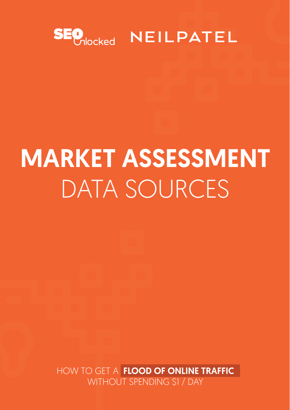HOW TO GET A FLOOD OF ONLINE TRAFFIC WITHOUT SPENDING \$1 / DAY

# SEO<sub>Nocked</sub> NEILPATEL

# MARKET ASSESSMENT DATA SOURCES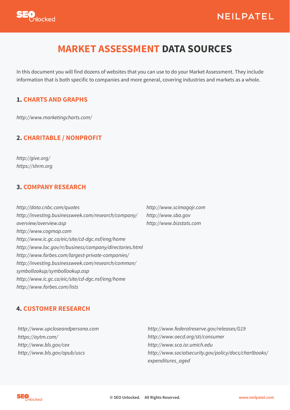



# **MARKET ASSESSMENT DATA SOURCES**

In this document you will find dozens of websites that you can use to do your Market Assessment. They include information that is both specific to companies and more general, covering industries and markets as a whole.

#### **1. CHARTS AND GRAPHS**

*<http://www.marketingcharts.com/>*

#### **2. CHARITABLE / NONPROFIT**

*[http://give.org/](http://give.org/ )  [https://shrm.org](https://shrm.org )* 

#### **3. COMPANY RESEARCH**

*http:/*/*[www.scimagojr.com](http://money.cnn.com/magazines/fortune/fortune500 )* 

*[http://www.sba.gov](http://markets.ft.com/ft/markets/companyResearch.asp )  [http://www.bizstats.com](http://www.infinancials.com  )* 

*[http://data.cnbc.com/quotes](http://data.cnbc.com/quotes )* 

*[http://investing.businessweek.com/research/company/](http://investing.businessweek.com/research/company/overview/overview.asp ) [overview/overview.asp](http://investing.businessweek.com/research/company/overview/overview.asp )  <http://www.cogmap.com> [http://www.ic.gc.ca/eic/site/cd-dgc.nsf/eng/home](http://www.ic.gc.ca/eic/site/cd-dgc.nsf/eng/home  )  [http://www.loc.gov/rr/business/company/directories.html](http://www.loc.gov/rr/business/company/directories.html  )  [http://www.forbes.com/largest-private-companies/](http://www.forbes.com/largest-private-companies/  )  [http://investing.businessweek.com/research/common/](http://investing.businessweek.com/research/common/symbollookup/symbollookup.asp  ) [symbollookup/symbollookup.asp](http://investing.businessweek.com/research/common/symbollookup/symbollookup.asp  )  [http://www.ic.gc.ca/eic/site/cd-dgc.nsf/eng/home](http://www.ic.gc.ca/eic/site/cd-dgc.nsf/eng/home  )  [http://www.forbes.com/lists](http://www.forbes.com/lists  )* 

#### **4. CUSTOMER RESEARCH**

*[http://www.upclos](https://proved.co/  )[eandpersona.com](http://www.upcloseandpersona.com) <https://aytm.com/> [http://www.bls.gov/cex](https://www.pickfu.com/ )  [http://www.bls.gov/opub/uscs](http://www.bls.gov/opub/uscs%20)* 

*<http://www.federalreserve.gov/releases/G19> [http://www.oecd.org/sti/consumer](http://www.oecd.org/sti/consumer )  [http://www.sca.isr.umich.edu](http://www.sca.isr.umich.edu )  [http://www.socialsecurity.gov/policy/docs/chartbooks/](http://www.socialsecurity.gov/policy/docs/chartbooks/expenditures_aged  ) [expenditures\\_aged](http://www.socialsecurity.gov/policy/docs/chartbooks/expenditures_aged  )* 

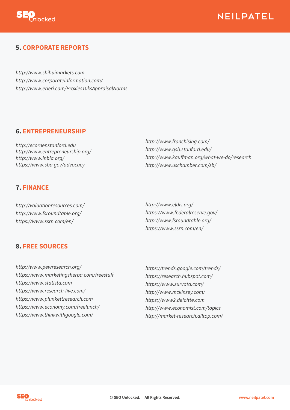

### NEILPATEL

#### **5. CORPORATE REPORTS**

[http://www.shibuimarkets.com](http://www.earnings.com/highlight.asp)  [http://www.corporateinformation.com/](http://www.erieri.com/Proxies10ksAppraisalNorms) *<http://www.erieri.com/Proxies10ksAppraisalNorms>* 

#### **6. [ENTREPRENEURSH](http://ecorner.stanford.edu)IP**

*<http://ecorner.stanford.edu> [http://www.entrepreneurship.org](http://www.entrepreneurship.org/%20)[/](http://www.businessweek.com/smallbiz/index.html 
)*  <http://www.inbia.org/> <https://www.sba.gov/advocacy>

#### **7. FINANCE**

*[http://valuationresources.com/](http://valuationresources.com/%20)* 

<http://www.fsroundtable.org/> <https://www.ssrn.com/en/>

#### **8. FREE SOURCES**

*<http://www.pewresearch.org/>* [https://www.marketingsherpa.com/freestuff](https://www.marketingsherpa.com/freestuff 
)  *<https://www.statista.com> <https://www.research-live.com/> <https://www.plunkettresearch.com> <https://www.economy.com/freelunch/> <https://www.thinkwithgoogle.com/>*

*<http://www.franchising.com/> <http://www.gsb.stanford.edu/>* <http://www.kauffman.org/what-we-do/research> <http://www.uschamber.com/sb/>

*<http://www.eldis.org/>*

*[https://www.federalreserve.gov/](https://www.federalreserve.gov/%20) <http://www.fsroundtable.org/> <https://www.ssrn.com/en/>* 

*<https://trends.google.com/trends/> <https://research.hubspot.com/> <https://www.survata.com/> <http://www.mckinsey.com/> <https://www2.deloitte.com> <http://www.economist.com/topics> <http://market-research.alltop.com/>*

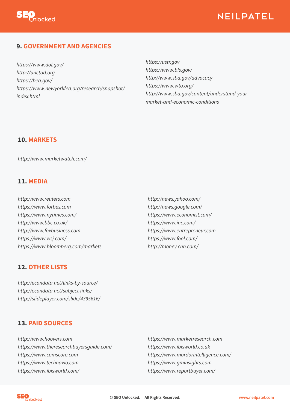

## NEILPATEL

#### **9. GOVERNMENT AND AGENCIES**

*[https://www.dol.gov/](http://www.census.gov/data/data-tools.html)  <http://unctad.org> <https://bea.gov/>* [https://www.newyorkfed.org/research/snapshot/](https://www.newyorkfed.org/research/snapshot/index.html) [index.html](http://unctad.org 
)

*[https://ustr.gov](https://ustr.gov/) <https://www.bls.gov/> <http://www.sba.gov/advocacy> <https://www.wto.org/> [http://www.sba.gov/content/understand-your](http://www.sba.gov/content/understand-your-market-and-economic-conditions)market-and-economic-conditions* 

#### **10. MARKETS**

*<http://www.marketwatch.com/>*

#### **11. MEDIA**

*<http://www.reuters.com> <https://www.forbes.com>*

*<https://www.nytimes.com/> <http://www.bbc.co.uk/> <http://www.foxbusiness.com> <https://www.wsj.com/> <https://www.bloomberg.com/markets>*

#### **12. OTHER LISTS**

*[http://econdata.net/links-by-source/](http://econdata.net/links-by-source/ 
)  [http://econdata.net/subject-links/](http://econdata.net/subject-links/ 
)  [http://slideplayer.com/slide/4395616/](http://slideplayer.com/slide/4395616/ 
)* 

#### **13. PAID SOURCES**

*<http://www.hoovers.com> <https://www.theresearchbuyersguide.com/> <https://www.comscore.com> <https://www.technavio.com> <https://www.ibisworld.com/>*

*<http://news.yahoo.com/> <http://news.google.com/>*

*<https://www.economist.com/> <https://www.inc.com/> <https://www.entrepreneur.com> <https://www.fool.com/> <http://money.cnn.com/>*

*<https://www.marketresearch.com> [https://www.ibisworld.co.uk](https://www.ibisworld.co.uk
) <https://www.mordorintelligence.com/> [https://www.gminsights.com](https://www.gminsights.com 
)  [https://www.reportbuyer.com/](https://www.reportbuyer.com/ 
)*